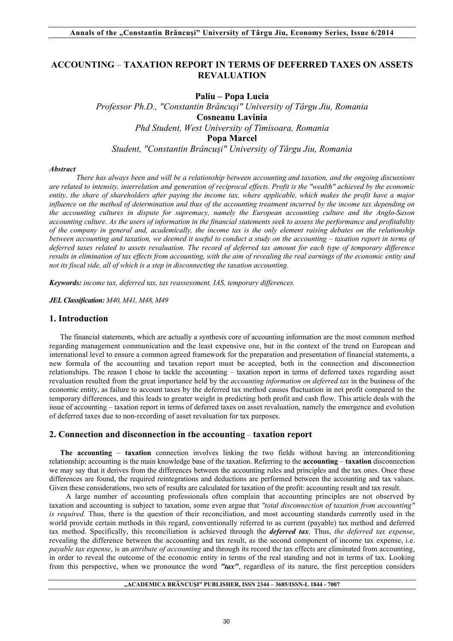# **ACCOUNTING** *–* **TAXATION REPORT IN TERMS OF DEFERRED TAXES ON ASSETS REVALUATION**

**Paliu – Popa Lucia**

*Professor Ph.D., "Constantin Brâncuşi" University of Târgu Jiu, Romania* **Cosneanu Lavinia** *Phd Student, West University of Timisoara, Romania* **Popa Marcel** *Student, "Constantin Brâncuşi" University of Târgu Jiu, Romania*

#### *Abstract*

*There has always been and will be a relationship between accounting and taxation, and the ongoing discussions are related to intensity, interrelation and generation of reciprocal effects. Profit is the "wealth" achieved by the economic entity, the share of shareholders after paying the income tax, where applicable, which makes the profit have a major influence on the method of determination and thus of the accounting treatment incurred by the income tax depending on the accounting cultures in dispute for supremacy, namely the European accounting culture and the Anglo-Saxon accounting culture. As the users of information in the financial statements seek to assess the performance and profitability of the company in general and, academically, the income tax is the only element raising debates on the relationship between accounting and taxation, we deemed it useful to conduct a study on the accounting – taxation report in terms of deferred taxes related to assets revaluation. The record of deferred tax amount for each type of temporary difference results in elimination of tax effects from accounting, with the aim of revealing the real earnings of the economic entity and not its fiscal side, all of which is a step in disconnecting the taxation accounting.*

*Keywords: income tax, deferred tax, tax reassessment, IAS, temporary differences.*

*JEL Classification: M40, M41, M48, M49*

## **1. Introduction**

The financial statements, which are actually a synthesis core of accounting information are the most common method regarding management communication and the least expensive one, but in the context of the trend on European and international level to ensure a common agreed framework for the preparation and presentation of financial statements, a new formula of the accounting and taxation report must be accepted, both in the connection and disconnection relationships. The reason I chose to tackle the accounting – taxation report in terms of deferred taxes regarding asset revaluation resulted from the great importance held by the *accounting information on deferred tax* in the business of the economic entity, as failure to account taxes by the deferred tax method causes fluctuation in net profit compared to the temporary differences, and this leads to greater weight in predicting both profit and cash flow. This article deals with the issue of accounting – taxation report in terms of deferred taxes on asset revaluation, namely the emergence and evolution of deferred taxes due to non-recording of asset revaluation for tax purposes.

## **2. Connection and disconnection in the accounting** – **taxation report**

**The accounting** – **taxation** connection involves linking the two fields without having an interconditioning relationship; accounting is the main knowledge base of the taxation. Referring to the **accounting** – **taxation** disconnection we may say that it derives from the differences between the accounting rules and principles and the tax ones. Once these differences are found, the required reintegrations and deductions are performed between the accounting and tax values. Given these considerations, two sets of results are calculated for taxation of the profit: accounting result and tax result.

 A large number of accounting professionals often complain that accounting principles are not observed by taxation and accounting is subject to taxation, some even argue that *"total disconnection of taxation from accounting" is required.* Thus, there is the question of their reconciliation, and most accounting standards currently used in the world provide certain methods in this regard, conventionally referred to as current (payable) tax method and deferred tax method. Specifically, this reconciliation is achieved through the *deferred tax*. Thus, *the deferred tax expense*, revealing the difference between the accounting and tax result, as the second component of income tax expense, i.e. *payable tax expense*, is an *attribute of accounting* and through its record the tax effects are eliminated from accounting, in order to reveal the outcome of the economic entity in terms of the real standing and not in terms of tax. Looking from this perspective, when we pronounce the word *"tax"*, regardless of its nature, the first perception considers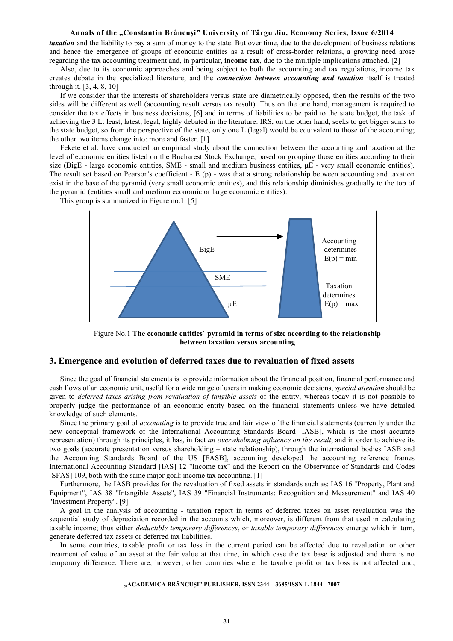*taxation* and the liability to pay a sum of money to the state. But over time, due to the development of business relations and hence the emergence of groups of economic entities as a result of cross-border relations, a growing need arose regarding the tax accounting treatment and, in particular, **income tax**, due to the multiple implications attached. [2]

Also, due to its economic approaches and being subject to both the accounting and tax regulations, income tax creates debate in the specialized literature, and the *connection between accounting and taxation* itself is treated through it. [3, 4, 8, 10]

If we consider that the interests of shareholders versus state are diametrically opposed, then the results of the two sides will be different as well (accounting result versus tax result). Thus on the one hand, management is required to consider the tax effects in business decisions, [6] and in terms of liabilities to be paid to the state budget, the task of achieving the 3 L: least, latest, legal, highly debated in the literature. IRS, on the other hand, seeks to get bigger sums to the state budget, so from the perspective of the state, only one L (legal) would be equivalent to those of the accounting; the other two items change into: more and faster. [1]

Fekete et al. have conducted an empirical study about the connection between the accounting and taxation at the level of economic entities listed on the Bucharest Stock Exchange, based on grouping those entities according to their size (BigE - large economic entities, SME - small and medium business entities,  $\mu$ E - very small economic entities). The result set based on Pearson's coefficient -  $E(p)$  - was that a strong relationship between accounting and taxation exist in the base of the pyramid (very small economic entities), and this relationship diminishes gradually to the top of the pyramid (entities small and medium economic or large economic entities).

This group is summarized in Figure no.1. [5]



Figure No.1 **The economic entities` pyramid in terms of size according to the relationship between taxation versus accounting**

## **3. Emergence and evolution of deferred taxes due to revaluation of fixed assets**

Since the goal of financial statements is to provide information about the financial position, financial performance and cash flows of an economic unit, useful for a wide range of users in making economic decisions, *special attention* should be given to *deferred taxes arising from revaluation of tangible assets* of the entity, whereas today it is not possible to properly judge the performance of an economic entity based on the financial statements unless we have detailed knowledge of such elements.

Since the primary goal of *accounting* is to provide true and fair view of the financial statements (currently under the new conceptual framework of the International Accounting Standards Board [IASB], which is the most accurate representation) through its principles, it has, in fact *an overwhelming influence on the result*, and in order to achieve its two goals (accurate presentation versus shareholding – state relationship), through the international bodies IASB and the Accounting Standards Board of the US [FASB], accounting developed the accounting reference frames International Accounting Standard [IAS] 12 "Income tax" and the Report on the Observance of Standards and Codes [SFAS] 109, both with the same major goal: income tax accounting. [1]

Furthermore, the IASB provides for the revaluation of fixed assets in standards such as: IAS 16 "Property, Plant and Equipment", IAS 38 "Intangible Assets", IAS 39 "Financial Instruments: Recognition and Measurement" and IAS 40 "Investment Property". [9]

A goal in the analysis of accounting - taxation report in terms of deferred taxes on asset revaluation was the sequential study of depreciation recorded in the accounts which, moreover, is different from that used in calculating taxable income; thus either *deductible temporary differences*, or *taxable temporary differences* emerge which in turn, generate deferred tax assets or deferred tax liabilities.

In some countries, taxable profit or tax loss in the current period can be affected due to revaluation or other treatment of value of an asset at the fair value at that time, in which case the tax base is adjusted and there is no temporary difference. There are, however, other countries where the taxable profit or tax loss is not affected and,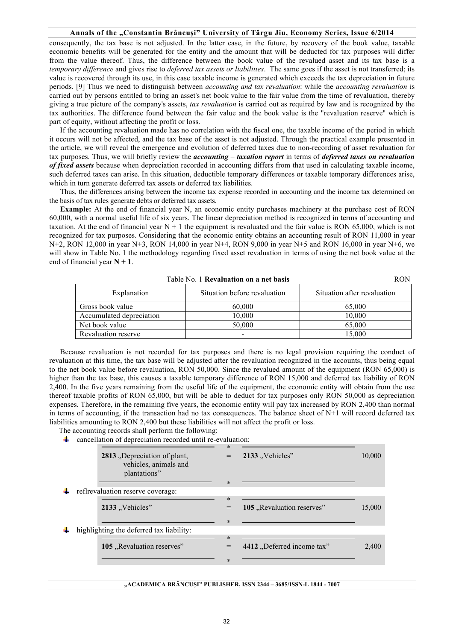consequently, the tax base is not adjusted. In the latter case, in the future, by recovery of the book value, taxable economic benefits will be generated for the entity and the amount that will be deducted for tax purposes will differ from the value thereof. Thus, the difference between the book value of the revalued asset and its tax base is a *temporary difference* and gives rise to *deferred tax assets or liabilities*. The same goes if the asset is not transferred; its value is recovered through its use, in this case taxable income is generated which exceeds the tax depreciation in future periods. [9] Thus we need to distinguish between *accounting and tax revaluation*: while the *accounting revaluation* is carried out by persons entitled to bring an asset's net book value to the fair value from the time of revaluation, thereby giving a true picture of the company's assets, *tax revaluation* is carried out as required by law and is recognized by the tax authorities. The difference found between the fair value and the book value is the "revaluation reserve" which is part of equity, without affecting the profit or loss.

If the accounting revaluation made has no correlation with the fiscal one, the taxable income of the period in which it occurs will not be affected, and the tax base of the asset is not adjusted. Through the practical example presented in the article, we will reveal the emergence and evolution of deferred taxes due to non-recording of asset revaluation for tax purposes. Thus, we will briefly review the *accounting* – *taxation report* in terms of *deferred taxes on revaluation of fixed assets* because when depreciation recorded in accounting differs from that used in calculating taxable income, such deferred taxes can arise. In this situation, deductible temporary differences or taxable temporary differences arise, which in turn generate deferred tax assets or deferred tax liabilities.

Thus, the differences arising between the income tax expense recorded in accounting and the income tax determined on the basis of tax rules generate debts or deferred tax assets.

**Example:** At the end of financial year N, an economic entity purchases machinery at the purchase cost of RON 60,000, with a normal useful life of six years. The linear depreciation method is recognized in terms of accounting and taxation. At the end of financial year  $N + 1$  the equipment is revaluated and the fair value is RON 65,000, which is not recognized for tax purposes. Considering that the economic entity obtains an accounting result of RON 11,000 in year N+2, RON 12,000 in year N+3, RON 14,000 in year N+4, RON 9,000 in year N+5 and RON 16,000 in year N+6, we will show in Table No. 1 the methodology regarding fixed asset revaluation in terms of using the net book value at the end of financial year **N + 1**.

| Table No. 1 <b>Revaluation on a net basis</b> | RON                          |                             |  |
|-----------------------------------------------|------------------------------|-----------------------------|--|
| Explanation                                   | Situation before revaluation | Situation after revaluation |  |
| Gross book value                              | 60,000                       | 65,000                      |  |
| Accumulated depreciation                      | 10,000                       | 10.000                      |  |
| Net book value                                | 50.000                       | 65,000                      |  |
| Revaluation reserve                           |                              | 15.000                      |  |

Because revaluation is not recorded for tax purposes and there is no legal provision requiring the conduct of revaluation at this time, the tax base will be adjusted after the revaluation recognized in the accounts, thus being equal to the net book value before revaluation, RON 50,000. Since the revalued amount of the equipment (RON 65,000) is higher than the tax base, this causes a taxable temporary difference of RON 15,000 and deferred tax liability of RON 2,400. In the five years remaining from the useful life of the equipment, the economic entity will obtain from the use thereof taxable profits of RON 65,000, but will be able to deduct for tax purposes only RON 50,000 as depreciation expenses. Therefore, in the remaining five years, the economic entity will pay tax increased by RON 2,400 than normal in terms of accounting, if the transaction had no tax consequences. The balance sheet of N+1 will record deferred tax liabilities amounting to RON 2,400 but these liabilities will not affect the profit or loss.

The accounting records shall perform the following:

cancellation of depreciation recorded until re-evaluation:

|   | 2813 "Depreciation of plant,             | $\ast$ | 2133 "Vehicles"            | 10,000 |
|---|------------------------------------------|--------|----------------------------|--------|
|   | vehicles, animals and<br>plantations"    |        |                            |        |
|   |                                          | $\ast$ |                            |        |
| ┺ | reflrevaluation reserve coverage:        |        |                            |        |
|   |                                          | $\ast$ |                            |        |
|   | 2133 "Vehicles"                          |        | 105, Revaluation reserves" | 15,000 |
|   |                                          | $\ast$ |                            |        |
| ┺ | highlighting the deferred tax liability: |        |                            |        |
|   |                                          | $\ast$ |                            |        |
|   | 105, Revaluation reserves"               | =      | 4412 "Deferred income tax" | 2,400  |
|   |                                          |        |                            |        |
|   |                                          | $\ast$ |                            |        |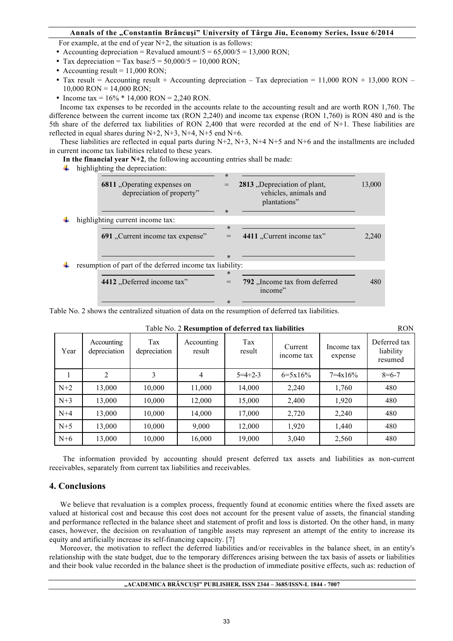For example, at the end of year N+2, the situation is as follows:

- Accounting depreciation = Revalued amount/ $5 = 65,000/5 = 13,000$  RON;
- Tax depreciation = Tax base/5 =  $50,000/5 = 10,000$  RON;
- Accounting result  $= 11,000$  RON;
- Tax result = Accounting result + Accounting depreciation Tax depreciation = 11,000 RON + 13,000 RON  $10,000$  RON = 14,000 RON;
- Income tax =  $16\%$  \* 14,000 RON = 2,240 RON.

Income tax expenses to be recorded in the accounts relate to the accounting result and are worth RON 1,760. The difference between the current income tax (RON 2,240) and income tax expense (RON 1,760) is RON 480 and is the 5th share of the deferred tax liabilities of RON 2,400 that were recorded at the end of N+1. These liabilities are reflected in equal shares during N+2, N+3, N+4, N+5 end N+6.

These liabilities are reflected in equal parts during  $N+2$ ,  $N+3$ ,  $N+4$   $N+5$  and  $N+6$  and the installments are included in current income tax liabilities related to these years.

**In the financial year N+2**, the following accounting entries shall be made:

 $\ddot{\phantom{a}}$  highlighting the depreciation:

| 6811 "Operating expenses on<br>depreciation of property" | $\ast$<br>ж. | 2813 "Depreciation of plant,<br>vehicles, animals and<br>plantations" | 13,000 |
|----------------------------------------------------------|--------------|-----------------------------------------------------------------------|--------|
| highlighting current income tax:                         |              |                                                                       |        |
|                                                          | $\ast$       |                                                                       |        |
| 691 "Current income tax expense"                         | $=$          | 4411 "Current income tax"                                             | 2.240  |
|                                                          | *            |                                                                       |        |
| resumption of part of the deferred income tax liability: |              |                                                                       |        |
|                                                          | $\ast$       |                                                                       |        |
| 4412 "Deferred income tax"                               |              | 792, Income tax from deferred<br>income"                              | 480    |
|                                                          | $\ast$       |                                                                       |        |

Table No. 2 shows the centralized situation of data on the resumption of deferred tax liabilities.

|       | <b>RON</b><br>Table No. 2 Resumption of deferred tax liabilities |                     |                      |                 |                       |                       |                                      |
|-------|------------------------------------------------------------------|---------------------|----------------------|-----------------|-----------------------|-----------------------|--------------------------------------|
| Year  | Accounting<br>depreciation                                       | Tax<br>depreciation | Accounting<br>result | Tax<br>result   | Current<br>income tax | Income tax<br>expense | Deferred tax<br>liability<br>resumed |
|       | 2                                                                | 3                   | $\overline{4}$       | $5 = 4 + 2 - 3$ | $6=5x16%$             | $7 = 4 \times 16\%$   | $8 = 6 - 7$                          |
| $N+2$ | 13,000                                                           | 10,000              | 11,000               | 14,000          | 2,240                 | 1,760                 | 480                                  |
| $N+3$ | 13,000                                                           | 10,000              | 12,000               | 15,000          | 2,400                 | 1,920                 | 480                                  |
| $N+4$ | 13,000                                                           | 10,000              | 14,000               | 17,000          | 2,720                 | 2,240                 | 480                                  |
| $N+5$ | 13,000                                                           | 10,000              | 9,000                | 12,000          | 1.920                 | 1,440                 | 480                                  |
| $N+6$ | 13,000                                                           | 10,000              | 16,000               | 19,000          | 3,040                 | 2,560                 | 480                                  |

The information provided by accounting should present deferred tax assets and liabilities as non-current receivables, separately from current tax liabilities and receivables.

## **4. Conclusions**

We believe that revaluation is a complex process, frequently found at economic entities where the fixed assets are valued at historical cost and because this cost does not account for the present value of assets, the financial standing and performance reflected in the balance sheet and statement of profit and loss is distorted. On the other hand, in many cases, however, the decision on revaluation of tangible assets may represent an attempt of the entity to increase its equity and artificially increase its self-financing capacity. [7]

Moreover, the motivation to reflect the deferred liabilities and/or receivables in the balance sheet, in an entity's relationship with the state budget, due to the temporary differences arising between the tax basis of assets or liabilities and their book value recorded in the balance sheet is the production of immediate positive effects, such as: reduction of